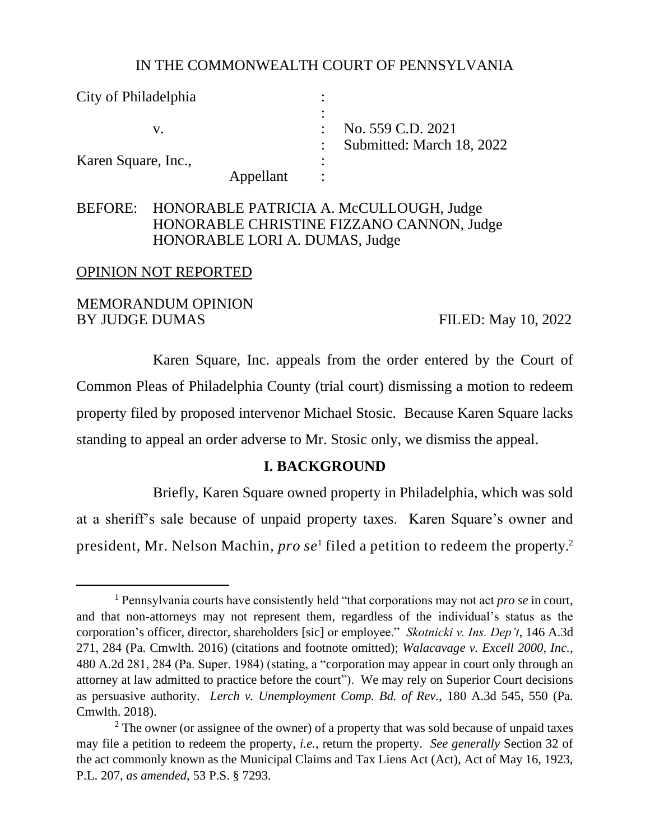#### IN THE COMMONWEALTH COURT OF PENNSYLVANIA

| City of Philadelphia |           |                           |
|----------------------|-----------|---------------------------|
|                      |           |                           |
|                      |           | No. 559 C.D. 2021         |
|                      |           | Submitted: March 18, 2022 |
| Karen Square, Inc.,  |           |                           |
|                      | Appellant |                           |

### BEFORE: HONORABLE PATRICIA A. McCULLOUGH, Judge HONORABLE CHRISTINE FIZZANO CANNON, Judge HONORABLE LORI A. DUMAS, Judge

#### OPINION NOT REPORTED

### MEMORANDUM OPINION BY JUDGE DUMAS FILED: May 10, 2022

Karen Square, Inc. appeals from the order entered by the Court of Common Pleas of Philadelphia County (trial court) dismissing a motion to redeem property filed by proposed intervenor Michael Stosic. Because Karen Square lacks standing to appeal an order adverse to Mr. Stosic only, we dismiss the appeal.

#### **I. BACKGROUND**

Briefly, Karen Square owned property in Philadelphia, which was sold at a sheriff's sale because of unpaid property taxes. Karen Square's owner and president, Mr. Nelson Machin, *pro se*<sup>1</sup> filed a petition to redeem the property.<sup>2</sup>

<sup>1</sup> Pennsylvania courts have consistently held "that corporations may not act *pro se* in court, and that non-attorneys may not represent them, regardless of the individual's status as the corporation's officer, director, shareholders [sic] or employee." *Skotnicki v. Ins. Dep't*, 146 A.3d 271, 284 (Pa. Cmwlth. 2016) (citations and footnote omitted); *Walacavage v. Excell 2000, Inc.*, 480 A.2d 281, 284 (Pa. Super. 1984) (stating, a "corporation may appear in court only through an attorney at law admitted to practice before the court"). We may rely on Superior Court decisions as persuasive authority. *Lerch v. Unemployment Comp. Bd. of Rev.*, 180 A.3d 545, 550 (Pa. Cmwlth. 2018).

 $2$  The owner (or assignee of the owner) of a property that was sold because of unpaid taxes may file a petition to redeem the property, *i.e.*, return the property. *See generally* Section 32 of the act commonly known as the Municipal Claims and Tax Liens Act (Act), Act of May 16, 1923, P.L. 207, *as amended*, 53 P.S. § 7293.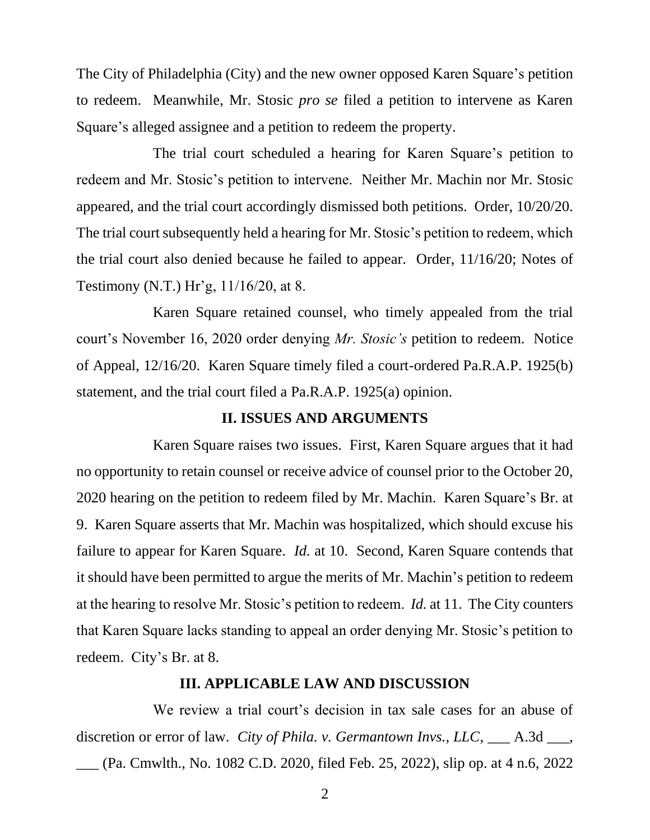The City of Philadelphia (City) and the new owner opposed Karen Square's petition to redeem. Meanwhile, Mr. Stosic *pro se* filed a petition to intervene as Karen Square's alleged assignee and a petition to redeem the property.

The trial court scheduled a hearing for Karen Square's petition to redeem and Mr. Stosic's petition to intervene. Neither Mr. Machin nor Mr. Stosic appeared, and the trial court accordingly dismissed both petitions. Order, 10/20/20. The trial court subsequently held a hearing for Mr. Stosic's petition to redeem, which the trial court also denied because he failed to appear. Order, 11/16/20; Notes of Testimony (N.T.) Hr'g, 11/16/20, at 8.

Karen Square retained counsel, who timely appealed from the trial court's November 16, 2020 order denying *Mr. Stosic's* petition to redeem. Notice of Appeal, 12/16/20. Karen Square timely filed a court-ordered Pa.R.A.P. 1925(b) statement, and the trial court filed a Pa.R.A.P. 1925(a) opinion.

#### **II. ISSUES AND ARGUMENTS**

Karen Square raises two issues. First, Karen Square argues that it had no opportunity to retain counsel or receive advice of counsel prior to the October 20, 2020 hearing on the petition to redeem filed by Mr. Machin. Karen Square's Br. at 9. Karen Square asserts that Mr. Machin was hospitalized, which should excuse his failure to appear for Karen Square. *Id.* at 10. Second, Karen Square contends that it should have been permitted to argue the merits of Mr. Machin's petition to redeem at the hearing to resolve Mr. Stosic's petition to redeem. *Id.* at 11. The City counters that Karen Square lacks standing to appeal an order denying Mr. Stosic's petition to redeem. City's Br. at 8.

#### **III. APPLICABLE LAW AND DISCUSSION**

We review a trial court's decision in tax sale cases for an abuse of discretion or error of law. *City of Phila. v. Germantown Invs., LLC*, \_\_\_ A.3d \_\_\_, \_\_\_ (Pa. Cmwlth., No. 1082 C.D. 2020, filed Feb. 25, 2022), slip op. at 4 n.6, 2022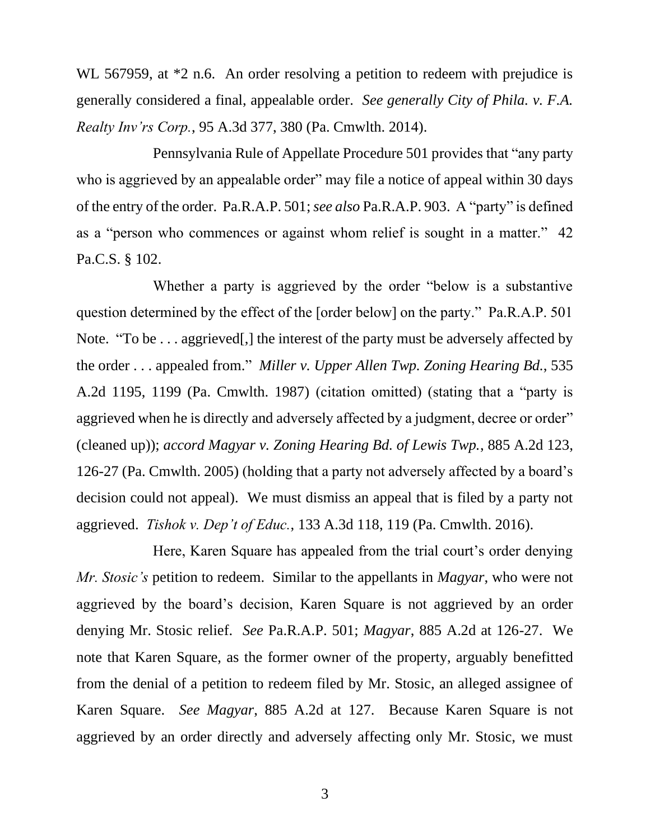WL 567959, at  $*2$  n.6. An order resolving a petition to redeem with prejudice is generally considered a final, appealable order. *See generally City of Phila. v. F.A. Realty Inv'rs Corp.*, 95 A.3d 377, 380 (Pa. Cmwlth. 2014).

Pennsylvania Rule of Appellate Procedure 501 provides that "any party who is aggrieved by an appealable order" may file a notice of appeal within 30 days of the entry of the order. Pa.R.A.P. 501; *see also* Pa.R.A.P. 903. A "party" is defined as a "person who commences or against whom relief is sought in a matter." 42 Pa.C.S. § 102.

Whether a party is aggrieved by the order "below is a substantive question determined by the effect of the [order below] on the party." Pa.R.A.P. 501 Note. "To be . . . aggrieved[,] the interest of the party must be adversely affected by the order . . . appealed from." *Miller v. Upper Allen Twp. Zoning Hearing Bd.*, 535 A.2d 1195, 1199 (Pa. Cmwlth. 1987) (citation omitted) (stating that a "party is aggrieved when he is directly and adversely affected by a judgment, decree or order" (cleaned up)); *accord Magyar v. Zoning Hearing Bd. of Lewis Twp.*, 885 A.2d 123, 126-27 (Pa. Cmwlth. 2005) (holding that a party not adversely affected by a board's decision could not appeal). We must dismiss an appeal that is filed by a party not aggrieved. *Tishok v. Dep't of Educ.*, 133 A.3d 118, 119 (Pa. Cmwlth. 2016).

Here, Karen Square has appealed from the trial court's order denying *Mr. Stosic's* petition to redeem. Similar to the appellants in *Magyar*, who were not aggrieved by the board's decision, Karen Square is not aggrieved by an order denying Mr. Stosic relief. *See* Pa.R.A.P. 501; *Magyar*, 885 A.2d at 126-27. We note that Karen Square, as the former owner of the property, arguably benefitted from the denial of a petition to redeem filed by Mr. Stosic, an alleged assignee of Karen Square. *See Magyar*, 885 A.2d at 127. Because Karen Square is not aggrieved by an order directly and adversely affecting only Mr. Stosic, we must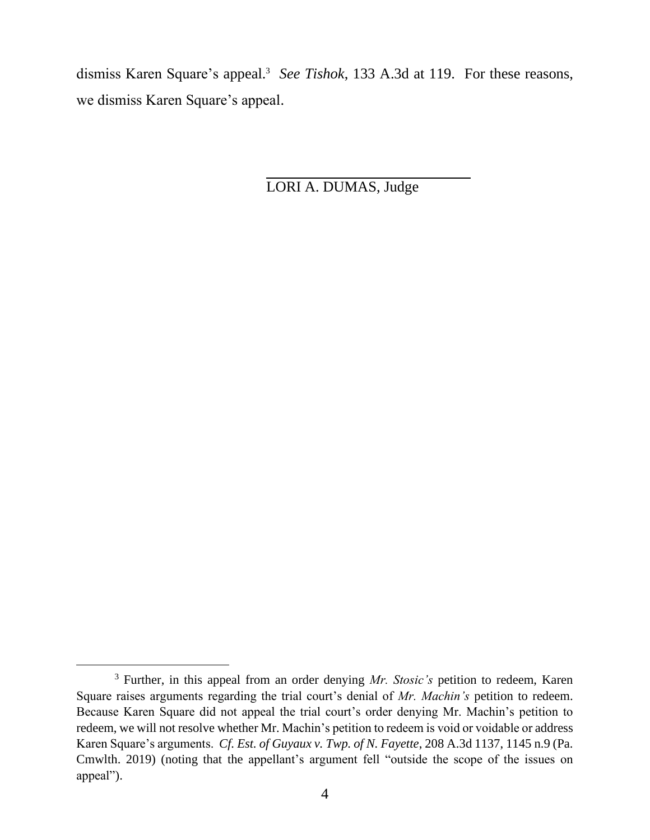dismiss Karen Square's appeal.<sup>3</sup> See Tishok, 133 A.3d at 119. For these reasons, we dismiss Karen Square's appeal.

LORI A. DUMAS, Judge

<sup>3</sup> Further, in this appeal from an order denying *Mr. Stosic's* petition to redeem, Karen Square raises arguments regarding the trial court's denial of *Mr. Machin's* petition to redeem. Because Karen Square did not appeal the trial court's order denying Mr. Machin's petition to redeem, we will not resolve whether Mr. Machin's petition to redeem is void or voidable or address Karen Square's arguments. *Cf. Est. of Guyaux v. Twp. of N. Fayette*, 208 A.3d 1137, 1145 n.9 (Pa. Cmwlth. 2019) (noting that the appellant's argument fell "outside the scope of the issues on appeal").